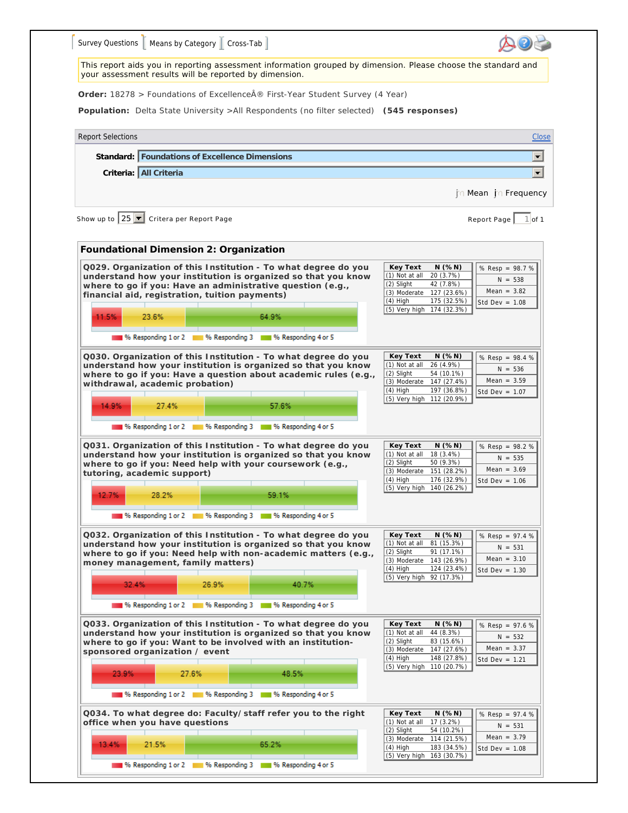|                                                        |                                          | Survey Questions   Means by Category   Cross-Tab                                                                                                                                                                                                |       |                                                                               |                                                                                                                                                                    |                                                                    |
|--------------------------------------------------------|------------------------------------------|-------------------------------------------------------------------------------------------------------------------------------------------------------------------------------------------------------------------------------------------------|-------|-------------------------------------------------------------------------------|--------------------------------------------------------------------------------------------------------------------------------------------------------------------|--------------------------------------------------------------------|
|                                                        |                                          | your assessment results will be reported by dimension.                                                                                                                                                                                          |       |                                                                               | This report aids you in reporting assessment information grouped by dimension. Please choose the standard and                                                      |                                                                    |
|                                                        |                                          |                                                                                                                                                                                                                                                 |       | Order: 18278 > Foundations of Excellence ® First-Year Student Survey (4 Year) |                                                                                                                                                                    |                                                                    |
|                                                        |                                          |                                                                                                                                                                                                                                                 |       |                                                                               | Population: Delta State University >All Respondents (no filter selected) (545 responses)                                                                           |                                                                    |
| <b>Report Selections</b>                               |                                          |                                                                                                                                                                                                                                                 |       |                                                                               |                                                                                                                                                                    | Close                                                              |
|                                                        |                                          | Standard:   Foundations of Excellence Dimensions                                                                                                                                                                                                |       |                                                                               |                                                                                                                                                                    | $\blacksquare$                                                     |
|                                                        | Criteria: All Criteria                   |                                                                                                                                                                                                                                                 |       |                                                                               |                                                                                                                                                                    | $\blacksquare$                                                     |
|                                                        |                                          |                                                                                                                                                                                                                                                 |       |                                                                               |                                                                                                                                                                    | n Mean in Frequency                                                |
| Show up to $25$ $\blacksquare$ Critera per Report Page |                                          |                                                                                                                                                                                                                                                 |       |                                                                               |                                                                                                                                                                    | $1$ of 1<br>Report Page                                            |
|                                                        |                                          | Foundational Dimension 2: Organization                                                                                                                                                                                                          |       |                                                                               |                                                                                                                                                                    |                                                                    |
|                                                        |                                          | Q029. Organization of this Institution - To what degree do you<br>understand how your institution is organized so that you know<br>where to go if you: Have an administrative question (e.g.,<br>financial aid, registration, tuition payments) |       |                                                                               | Key Text<br>N(%N)<br>(1) Not at all<br>20 (3.7%)<br>(2) Slight<br>42 (7.8%)<br>(3) Moderate 127 (23.6%)<br>$(4)$ High<br>175 (32.5%)<br>(5) Very high 174 (32.3%)  | % Resp = $98.7%$<br>$N = 538$<br>Mean = $3.82$<br>Std Dev = $1.08$ |
| 11.5%                                                  | 23.6%                                    |                                                                                                                                                                                                                                                 | 64.9% |                                                                               |                                                                                                                                                                    |                                                                    |
|                                                        |                                          | 16 Responding 1 or 2 16 Responding 3 16 Responding 4 or 5                                                                                                                                                                                       |       |                                                                               |                                                                                                                                                                    |                                                                    |
| 14.9%                                                  | withdrawal, academic probation)<br>27.4% | understand how your institution is organized so that you know                                                                                                                                                                                   | 57.6% | where to go if you: Have a question about academic rules (e.g.,               | (1) Not at all 26 (4.9%)<br>(2) Slight<br>54 (10.1%)<br>(3) Moderate 147 (27.4%)<br>$(4)$ High<br>197 (36.8%)<br>(5) Very high 112 (20.9%)                         | $N = 536$<br>Mean = $3.59$<br>Std Dev = $1.07$                     |
|                                                        |                                          | 1 % Responding 1 or 2 1 % Responding 3 1 % Responding 4 or 5                                                                                                                                                                                    |       |                                                                               |                                                                                                                                                                    |                                                                    |
|                                                        | tutoring, academic support)              | Q031. Organization of this Institution - To what degree do you<br>understand how your institution is organized so that you know<br>where to go if you: Need help with your coursework (e.g.,                                                    |       |                                                                               | Key Text<br>N(%N)<br>(1) Not at all 18 (3.4%)<br>(2) Slight<br>50 (9.3%)<br>(3) Moderate 151 (28.2%)<br>$(4)$ High<br>176 (32.9%)                                  | % Resp = 98.2 %<br>$N = 535$<br>Mean = $3.69$<br>Std Dev = $1.06$  |
| 12.7%                                                  | 28.2%                                    |                                                                                                                                                                                                                                                 | 59.1% |                                                                               | (5) Very high 140 (26.2%)                                                                                                                                          |                                                                    |
|                                                        |                                          | 16 Responding 1 or 2 11 % Responding 3 11 % Responding 4 or 5                                                                                                                                                                                   |       |                                                                               |                                                                                                                                                                    |                                                                    |
|                                                        | 32.4%                                    | Q032. Organization of this Institution - To what degree do you<br>understand how your institution is organized so that you know<br>where to go if you: Need help with non-academic matters (e.g.,<br>money management, family matters)<br>26.9% | 40.7% |                                                                               | Key Text<br>N(%N)<br>(1) Not at all<br>81 (15.3%)<br>(2) Slight<br>91 (17.1%)<br>(3) Moderate 143 (26.9%)<br>$(4)$ High<br>124 (23.4%)<br>(5) Very high 92 (17.3%) | % Resp = 97.4 %<br>$N = 531$<br>Mean = $3.10$<br>Std Dev = $1.30$  |
|                                                        |                                          | 196 Responding 1 or 2 18 % Responding 3 18 % Responding 4 or 5                                                                                                                                                                                  |       |                                                                               |                                                                                                                                                                    |                                                                    |
|                                                        |                                          | Q033. Organization of this Institution - To what degree do you<br>understand how your institution is organized so that you know<br>where to go if you: Want to be involved with an institution-                                                 |       |                                                                               | Key Text<br>$N$ (% $N$ )<br>(1) Not at all<br>44 (8.3%)<br>(2) Slight<br>83 (15.6%)<br>(3) Moderate<br>147 (27.6%)<br>$(4)$ High<br>148 (27.8%)                    | % Resp = 97.6 %<br>$N = 532$<br>Mean = $3.37$<br>Std Dev = $1.21$  |
| sponsored organization / event<br>23.9%                |                                          | 27.6%                                                                                                                                                                                                                                           | 48.5% |                                                                               | (5) Very high 110 (20.7%)                                                                                                                                          |                                                                    |
|                                                        |                                          | % Responding 1 or 2 4 % Responding 3 4 % Responding 4 or 5                                                                                                                                                                                      |       |                                                                               |                                                                                                                                                                    |                                                                    |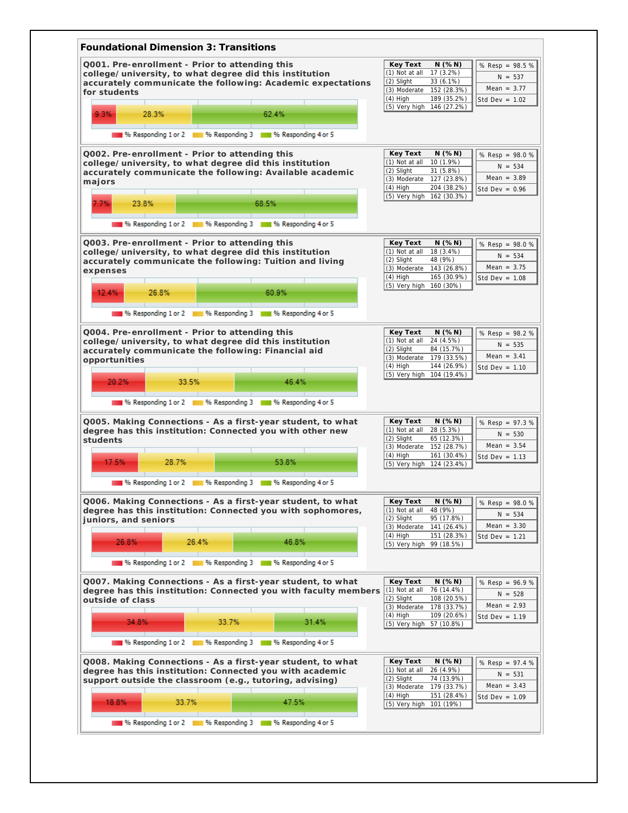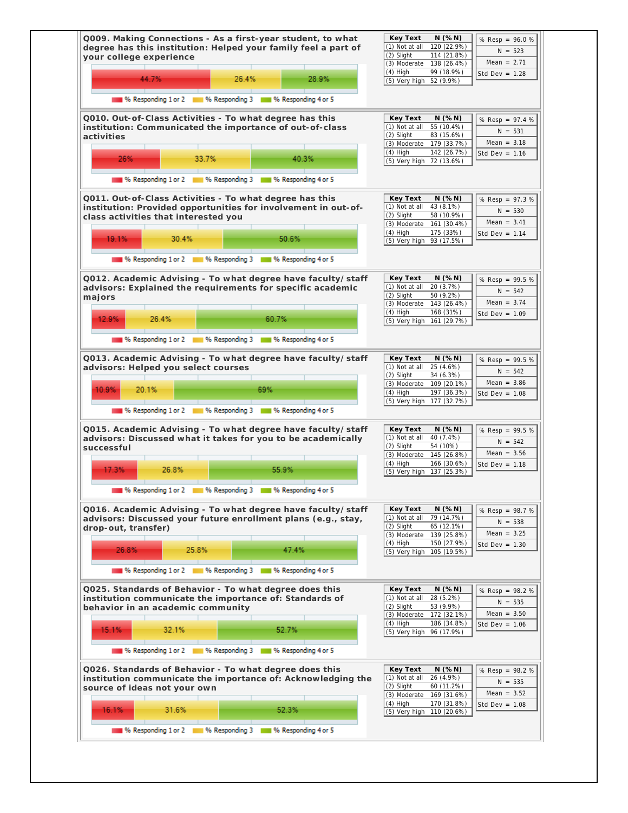| 44.7%<br>28.9%<br>26.4%                                                                                                                                                                                                                                    | (2) Slight<br>114 (21.8%)<br>Mean = $2.71$<br>(3) Moderate 138 (26.4%)<br>$(4)$ High<br>99 (18.9%)<br>Std Dev = $1.28$<br>(5) Very high 52 (9.9%)                                                                                         |
|------------------------------------------------------------------------------------------------------------------------------------------------------------------------------------------------------------------------------------------------------------|-------------------------------------------------------------------------------------------------------------------------------------------------------------------------------------------------------------------------------------------|
| 196 Responding 1 or 2 11 11 % Responding 3 11 11 % Responding 4 or 5                                                                                                                                                                                       |                                                                                                                                                                                                                                           |
| Q010. Out-of-Class Activities - To what degree has this<br>institution: Communicated the importance of out-of-class<br>activities<br>26%<br>33.7%<br>40.3%<br>196 Responding 1 or 2 11 96 Responding 3 11 96 Responding 4 or 5                             | Key Text<br>N(%N)<br>% Resp = 97.4 %<br>(1) Not at all<br>55 (10.4%)<br>$N = 531$<br>(2) Slight<br>83 (15.6%)<br>Mean = $3.18$<br>(3) Moderate 179 (33.7%)<br>$(4)$ High<br>142 (26.7%)<br>Std Dev = $1.16$<br>(5) Very high 72 (13.6%)   |
| Q011. Out-of-Class Activities - To what degree has this<br>institution: Provided opportunities for involvement in out-of-<br>class activities that interested you<br>19.1%<br>30.4%<br>50.6%<br>% Responding 1 or 2 1 % Responding 3 1 % Responding 4 or 5 | Key Text<br>N( % N)<br>% Resp = 97.3 %<br>$(1)$ Not at all<br>43 (8.1%)<br>$N = 530$<br>58 (10.9%)<br>(2) Slight<br>Mean = $3.41$<br>(3) Moderate 161 (30.4%)<br>$(4)$ High<br>175 (33%)<br>Std Dev = $1.14$<br>(5) Very high 93 (17.5%)  |
| Q012. Academic Advising - To what degree have faculty/staff<br>advisors: Explained the requirements for specific academic<br>majors<br>60.7%<br>12.9%<br>26.4%<br>196 Responding 1 or 2 11 % Responding 3 11 % Responding 4 or 5                           | Key Text<br>N( % N)<br>% Resp = 99.5 %<br>(1) Not at all<br>20 (3.7%)<br>$N = 542$<br>(2) Slight<br>50 (9.2%)<br>Mean = $3.74$<br>(3) Moderate 143 (26.4%)<br>$(4)$ High<br>168 (31%)<br>Std Dev = $1.09$<br>(5) Very high 161 (29.7%)    |
| Q013. Academic Advising - To what degree have faculty/staff<br>advisors: Helped you select courses<br>69%<br>10.9%<br>20.1%<br>196 Responding 1 or 2 11 % Responding 3 11 % Responding 4 or 5                                                              | Key Text<br>N( % N)<br>% Resp = 99.5 %<br>(1) Not at all<br>25 (4.6%)<br>$N = 542$<br>34 (6.3%)<br>(2) Slight<br>Mean = $3.86$<br>(3) Moderate 109 (20.1%)<br>$(4)$ High<br>197 (36.3%)<br>Std Dev = $1.08$<br>(5) Very high 177 (32.7%)  |
| Q015. Academic Advising - To what degree have faculty/staff<br>advisors: Discussed what it takes for you to be academically<br>successful<br>17.3%<br>26.8%<br>55.9%<br>% Responding 3<br>% Responding 4 or 5<br>% Responding 1 or 2                       | Key Text<br>N(%N)<br>% Resp = 99.5 %<br>$(1)$ Not at all<br>40 (7.4%)<br>$N = 542$<br>(2) Slight<br>54 (10%)<br>Mean = $3.56$<br>145(26.8%)<br>(3) Moderate<br>$(4)$ High<br>166 (30.6%)<br>Std Dev = $1.18$<br>(5) Very high 137 (25.3%) |
| Q016. Academic Advising - To what degree have faculty/staff<br>advisors: Discussed your future enrollment plans (e.g., stay,<br>drop-out, transfer)<br>26.8%<br>25.8%<br>47.4%<br>% Responding 1 or 2 1 % Responding 3 1 % Responding 4 or 5               | Key Text<br>N(%N)<br>% Resp = 98.7 %<br>(1) Not at all<br>79 (14.7%)<br>$N = 538$<br>65(12.1%)<br>(2) Slight<br>Mean = $3.25$<br>(3) Moderate 139 (25.8%)<br>$(4)$ High<br>150 (27.9%)<br>Std Dev = $1.30$<br>(5) Very high 105 (19.5%)   |
| Q025. Standards of Behavior - To what degree does this<br>institution communicate the importance of: Standards of<br>behavior in an academic community                                                                                                     | Key Text<br>N(%N)<br>% Resp = 98.2 %<br>(1) Not at all<br>28 (5.2%)<br>$N = 535$<br>53 (9.9%)<br>(2) Slight<br>Mean = $3.50$<br>(3) Moderate 172 (32.1%)<br>$(4)$ High<br>186 (34.8%)<br>Std Dev = $1.06$<br>(5) Very high 96 (17.9%)     |
| 15.1%<br>32.1%<br>52.7%<br>196 Responding 1 or 2 11 % Responding 3 11 % Responding 4 or 5                                                                                                                                                                  |                                                                                                                                                                                                                                           |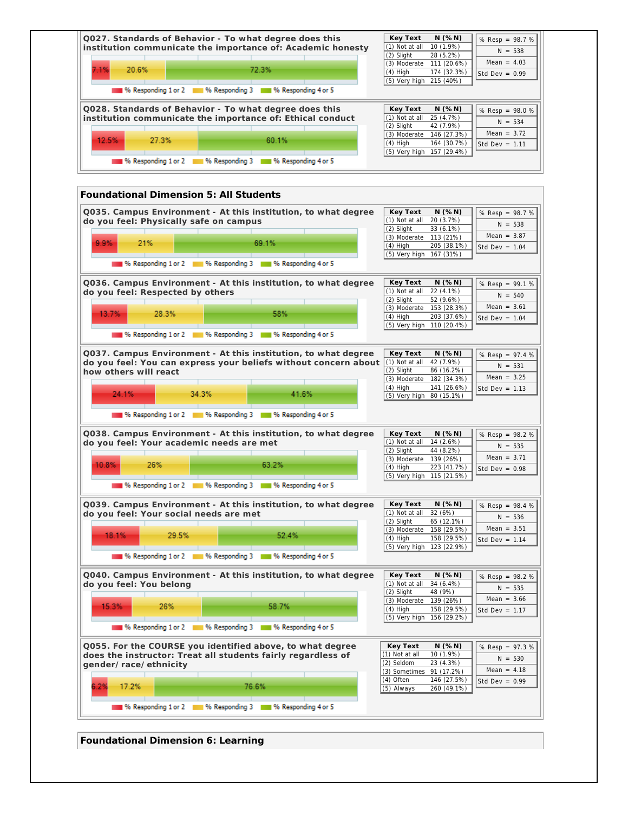

**Foundational Dimension 6: Learning**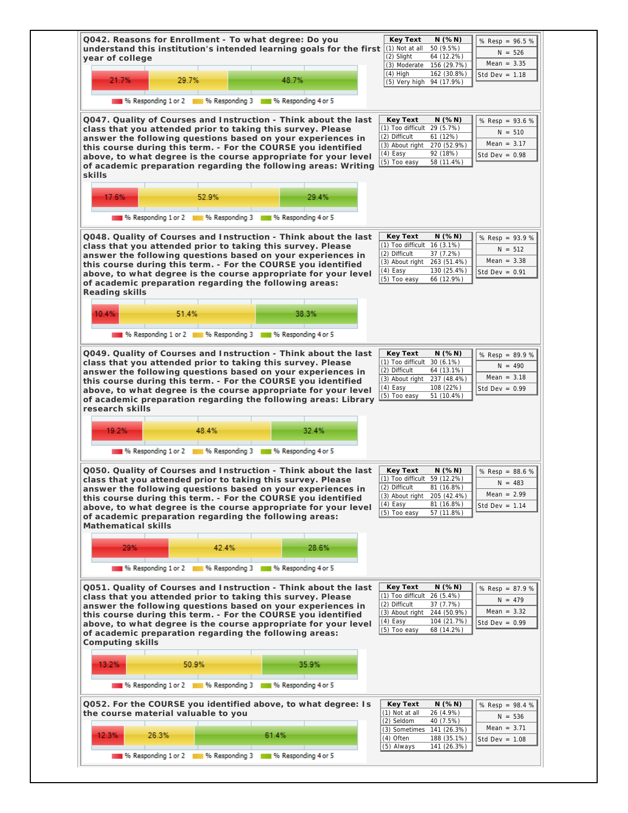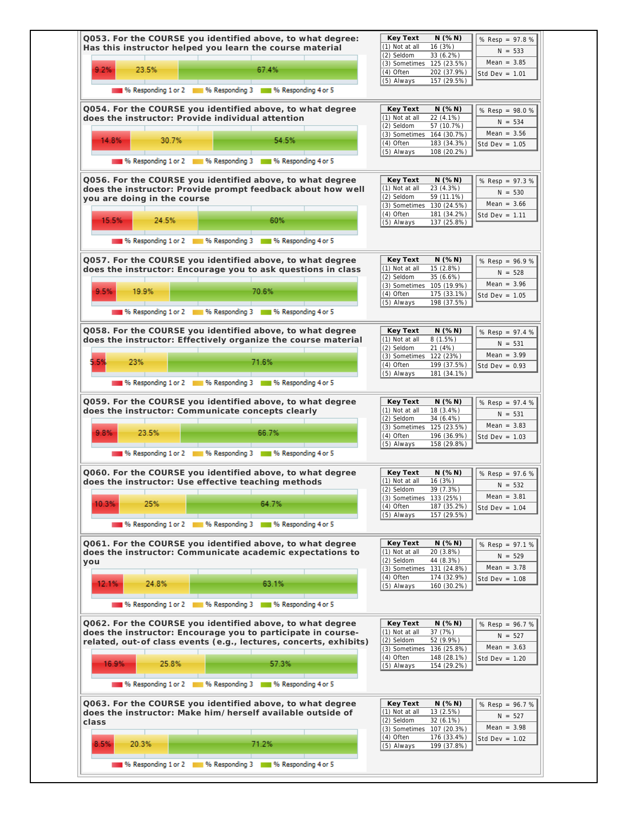|                                                   |       | Q053. For the COURSE you identified above, to what degree:<br>Has this instructor helped you learn the course material                                                                         | Key Text<br>N(%N)<br>% Resp = 97.8 %<br>(1) Not at all<br>16 (3%)<br>$N = 533$<br>(2) Seldom<br>33 (6.2%)<br>Mean = $3.85$                                                                                 |
|---------------------------------------------------|-------|------------------------------------------------------------------------------------------------------------------------------------------------------------------------------------------------|------------------------------------------------------------------------------------------------------------------------------------------------------------------------------------------------------------|
| 9.2%<br>23.5%                                     |       | 67.4%                                                                                                                                                                                          | (3) Sometimes 125 (23.5%)<br>(4) Often<br>202 (37.9%)<br>Std Dev = $1.01$<br>157 (29.5%)<br>(5) Always                                                                                                     |
|                                                   |       | % Responding 1 or 2 1 % Responding 3 1 % Responding 4 or 5                                                                                                                                     |                                                                                                                                                                                                            |
| does the instructor: Provide individual attention |       | Q054. For the COURSE you identified above, to what degree                                                                                                                                      | N(%N)<br>Key Text<br>% Resp = 98.0 %<br>(1) Not at all<br>22 (4.1%)<br>$N = 534$<br>(2) Seldom<br>57 (10.7%)                                                                                               |
| 14.8%                                             | 30.7% | 54.5%                                                                                                                                                                                          | Mean = $3.56$<br>(3) Sometimes 164 (30.7%)<br>(4) Often<br>183 (34.3%)<br>Std Dev = $1.05$<br>(5) Always<br>108 (20.2%)                                                                                    |
|                                                   |       | % Responding 1 or 2 1 % Responding 3 1 % Responding 4 or 5                                                                                                                                     |                                                                                                                                                                                                            |
| you are doing in the course                       |       | Q056. For the COURSE you identified above, to what degree<br>does the instructor: Provide prompt feedback about how well                                                                       | Key Text<br>N(%N)<br>% Resp = 97.3 %<br>23 (4.3%)<br>(1) Not at all<br>$N = 530$<br>59 (11.1%)<br>(2) Seldom<br>Mean = $3.66$<br>(3) Sometimes 130 (24.5%)                                                 |
| 15.5%                                             | 24.5% | 60%                                                                                                                                                                                            | (4) Often<br>181 (34.2%)<br>Std Dev = $1.11$<br>(5) Always<br>137 (25.8%)                                                                                                                                  |
|                                                   |       | 196 Responding 1 or 2 18 96 Responding 3 18 96 Responding 4 or 5                                                                                                                               |                                                                                                                                                                                                            |
|                                                   |       | Q057. For the COURSE you identified above, to what degree<br>does the instructor: Encourage you to ask questions in class                                                                      | Key Text<br>$N$ (% $N$ )<br>% Resp = 96.9 %<br>(1) Not at all<br>15 (2.8%)<br>$N = 528$<br>(2) Seldom<br>35 (6.6%)                                                                                         |
| 9.5%<br>19.9%                                     |       | 70.6%                                                                                                                                                                                          | Mean = $3.96$<br>(3) Sometimes 105 (19.9%)<br>(4) Often<br>175 (33.1%)<br>Std Dev = $1.05$<br>(5) Always<br>198 (37.5%)                                                                                    |
|                                                   |       | % Responding 1 or 2 18 % Responding 3 18 % Responding 4 or 5                                                                                                                                   |                                                                                                                                                                                                            |
|                                                   |       | Q058. For the COURSE you identified above, to what degree<br>does the instructor: Effectively organize the course material                                                                     | Key Text<br>$N$ (% $N$ )<br>% Resp = 97.4 %<br>(1) Not at all<br>8(1.5%)<br>$N = 531$<br>21 (4%)<br>(2) Seldom<br>Mean = $3.99$                                                                            |
| 5.59<br>23%                                       |       | 71.6%                                                                                                                                                                                          | (3) Sometimes 122 (23%)<br>(4) Often<br>199 (37.5%)<br>Std Dev = $0.93$<br>(5) Always<br>181 (34.1%)                                                                                                       |
|                                                   |       | 96 Responding 1 or 2 96 Responding 3 96 Responding 4 or 5                                                                                                                                      |                                                                                                                                                                                                            |
|                                                   |       | Q059. For the COURSE you identified above, to what degree<br>does the instructor: Communicate concepts clearly                                                                                 | Key Text<br>$N$ (% $N$ )<br>% Resp = 97.4 %<br>(1) Not at all<br>18 (3.4%)<br>$N = 531$<br>(2) Seldom<br>34 (6.4%)<br>Mean = $3.83$<br>(3) Sometimes 125 (23.5%)                                           |
| 9.8%<br>23.5%                                     |       | 66.7%                                                                                                                                                                                          | (4) Often<br>196 (36.9%)<br>Std Dev = $1.03$<br>(5) Always<br>158 (29.8%)                                                                                                                                  |
|                                                   |       | % Responding 1 or 2 4 % Responding 3 4 % Responding 4 or 5                                                                                                                                     |                                                                                                                                                                                                            |
|                                                   |       | Q060. For the COURSE you identified above, to what degree<br>does the instructor: Use effective teaching methods                                                                               | $N$ (% $N$ )<br>Key Text<br>% Resp = 97.6 %<br>(1) Not at all<br>16 (3%)<br>$N = 532$<br>(2) Seldom<br>39 (7.3%)<br>Mean = $3.81$                                                                          |
| 10.3%<br>25%                                      |       | 64.7%                                                                                                                                                                                          | (3) Sometimes 133 (25%)<br>(4) Often<br>187 (35.2%)<br>Std Dev = $1.04$<br>(5) Always<br>157 (29.5%)                                                                                                       |
|                                                   |       | 96 Responding 1 or 2 96 Responding 3 96 Responding 4 or 5                                                                                                                                      |                                                                                                                                                                                                            |
| you                                               |       | Q061. For the COURSE you identified above, to what degree<br>does the instructor: Communicate academic expectations to                                                                         | Key Text<br>N( % N)<br>% Resp = 97.1 %<br>(1) Not at all<br>20 (3.8%)<br>$N = 529$<br>(2) Seldom<br>44 (8.3%)<br>Mean = $3.78$<br>(3) Sometimes 131 (24.8%)                                                |
| 12.1%<br>24.8%                                    |       | 63.1%                                                                                                                                                                                          | (4) Often<br>174 (32.9%)<br>Std Dev = $1.08$<br>(5) Always<br>160 (30.2%)                                                                                                                                  |
|                                                   |       | 196 Responding 1 or 2 11 11 % Responding 3 11 12 % Responding 4 or 5                                                                                                                           |                                                                                                                                                                                                            |
|                                                   |       | Q062. For the COURSE you identified above, to what degree<br>does the instructor: Encourage you to participate in course-<br>related, out-of class events (e.g., lectures, concerts, exhibits) | Key Text<br>N( % N)<br>% Resp = 96.7 %<br>$(1)$ Not at all<br>37(7%)<br>$N = 527$<br>(2) Seldom<br>52 (9.9%)<br>Mean = $3.63$<br>(3) Sometimes 136 (25.8%)<br>(4) Often<br>148 (28.1%)<br>Std Dev = $1.20$ |
| 16.9%                                             | 25.8% | 57.3%<br>196 Responding 1 or 2 11 % Responding 3 11 % Responding 4 or 5                                                                                                                        | (5) Always<br>154 (29.2%)                                                                                                                                                                                  |
|                                                   |       |                                                                                                                                                                                                |                                                                                                                                                                                                            |
| class                                             |       | Q063. For the COURSE you identified above, to what degree<br>does the instructor: Make him/herself available outside of                                                                        | Key Text<br>N(%N)<br>% Resp = 96.7 %<br>$(1)$ Not at all<br>13(2.5%)<br>$N = 527$<br>(2) Seldom<br>32 (6.1%)<br>Mean = $3.98$<br>(3) Sometimes 107 (20.3%)<br>(4) Often<br>176 (33.4%)                     |
| 8.5%<br>20.3%                                     |       | 71.2%                                                                                                                                                                                          | Std Dev = $1.02$<br>199 (37.8%)<br>(5) Always                                                                                                                                                              |
|                                                   |       | 196 Responding 1 or 2 11 11 % Responding 3 11 11 % Responding 4 or 5                                                                                                                           |                                                                                                                                                                                                            |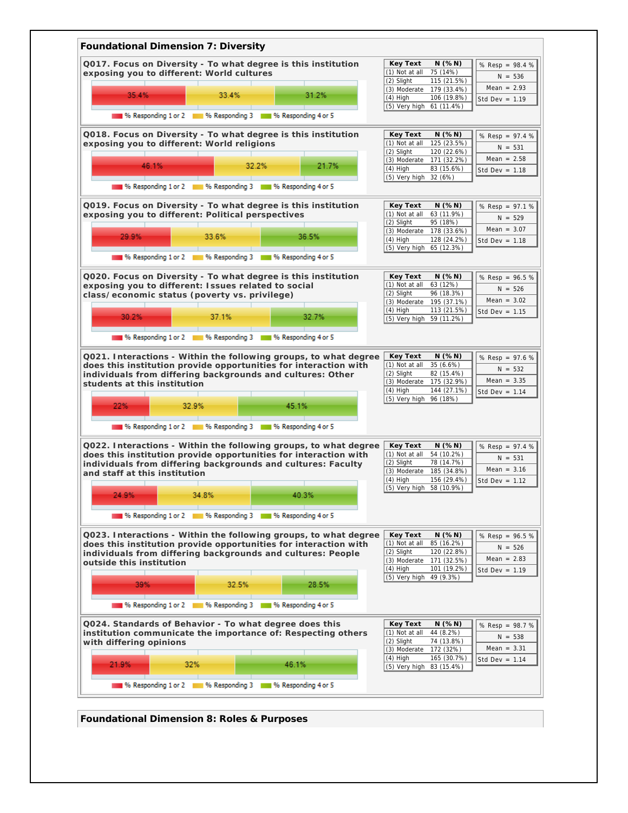

**Foundational Dimension 8: Roles & Purposes**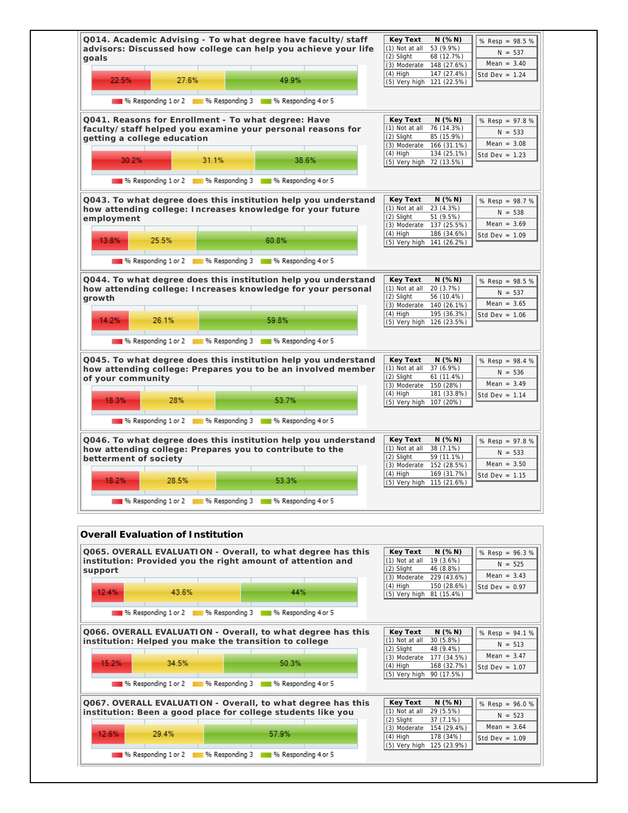| advisors: Discussed how college can help you achieve your life<br>goals                                                                                                        | Q014. Academic Advising - To what degree have faculty/staff<br>Key Text<br>N(%N)<br>% Resp = 98.5 %<br>(1) Not at all<br>53 (9.9%)<br>$N = 537$<br>(2) Slight<br>68 (12.7%)<br>Mean = $3.40$<br>(3) Moderate 148 (27.6%)<br>$(4)$ High<br>147 (27.4%)<br>Std Dev = $1.24$ |
|--------------------------------------------------------------------------------------------------------------------------------------------------------------------------------|---------------------------------------------------------------------------------------------------------------------------------------------------------------------------------------------------------------------------------------------------------------------------|
| 22.5%<br>27.6%<br>49.9%<br>% Responding 1 or 2 1 % Responding 3 1 % Responding 4 or 5                                                                                          | (5) Very high 121 (22.5%)                                                                                                                                                                                                                                                 |
| Q041. Reasons for Enrollment - To what degree: Have<br>faculty/staff helped you examine your personal reasons for<br>getting a college education<br>30.2%<br>31.1%<br>38.6%    | Key Text<br>N(%N)<br>% Resp = 97.8 %<br>(1) Not at all<br>76 (14.3%)<br>$N = 533$<br>(2) Slight<br>85 (15.9%)<br>Mean = $3.08$<br>(3) Moderate<br>166 (31.1%)<br>$(4)$ High<br>134 (25.1%)<br>Std Dev = $1.23$<br>(5) Very high 72 (13.5%)                                |
| 196 Responding 1 or 2 18 % Responding 3 18 % Responding 4 or 5                                                                                                                 |                                                                                                                                                                                                                                                                           |
| Q043. To what degree does this institution help you understand<br>how attending college: Increases knowledge for your future<br>employment<br>25.5%<br>13.8%<br>60.8%          | Key Text<br>N(%N)<br>% Resp = 98.7 %<br>(1) Not at all<br>23 (4.3%)<br>$N = 538$<br>(2) Slight<br>51 (9.5%)<br>Mean = $3.69$<br>(3) Moderate 137 (25.5%)<br>$(4)$ High<br>186 (34.6%)<br>Std Dev = $1.09$<br>(5) Very high 141 (26.2%)                                    |
| 16 % Responding 1 or 2 1 % Responding 3 1 % Responding 4 or 5                                                                                                                  |                                                                                                                                                                                                                                                                           |
|                                                                                                                                                                                | Key Text<br>N(%N)                                                                                                                                                                                                                                                         |
| Q044. To what degree does this institution help you understand<br>how attending college: Increases knowledge for your personal<br>growth                                       | % Resp = 98.5 %<br>(1) Not at all<br>20 (3.7%)<br>$N = 537$<br>$(2)$ Slight<br>56 (10.4%)<br>Mean = $3.65$<br>(3) Moderate 140 (26.1%)<br>$(4)$ High<br>195 (36.3%)<br>Std Dev = $1.06$                                                                                   |
| 26.1%<br>59.8%<br>14.2%                                                                                                                                                        | (5) Very high 126 (23.5%)                                                                                                                                                                                                                                                 |
| <sup>96</sup> Responding 1 or 2 3 96 Responding 3 3 96 Responding 4 or 5                                                                                                       |                                                                                                                                                                                                                                                                           |
| Q045. To what degree does this institution help you understand<br>how attending college: Prepares you to be an involved member<br>of your community<br>18.3%<br>28%<br>53.7%   | Key Text<br>N(%N)<br>% Resp = 98.4 %<br>(1) Not at all<br>37 (6.9%)<br>$N = 536$<br>(2) Slight<br>61 (11.4%)<br>Mean = $3.49$<br>(3) Moderate 150 (28%)<br>$(4)$ High<br>181 (33.8%)<br>Std Dev = $1.14$<br>(5) Very high 107 (20%)                                       |
| 196 Responding 1 or 2 1 1 1 % Responding 3 1 1 1 % Responding 4 or 5                                                                                                           |                                                                                                                                                                                                                                                                           |
| Q046. To what degree does this institution help you understand<br>how attending college: Prepares you to contribute to the<br>betterment of society<br>18.2%<br>28.5%<br>53.3% | N(%N)<br>Key Text<br>% Resp = 97.8 %<br>38 (7.1%)<br>(1) Not at all<br>$N = 533$<br>(2) Slight<br>59 (11.1%)<br>Mean = $3.50$<br>(3) Moderate<br>152 (28.5%)<br>$(4)$ High<br>169 (31.7%)<br>Std Dev = $1.15$<br>(5) Very high 115 (21.6%)                                |

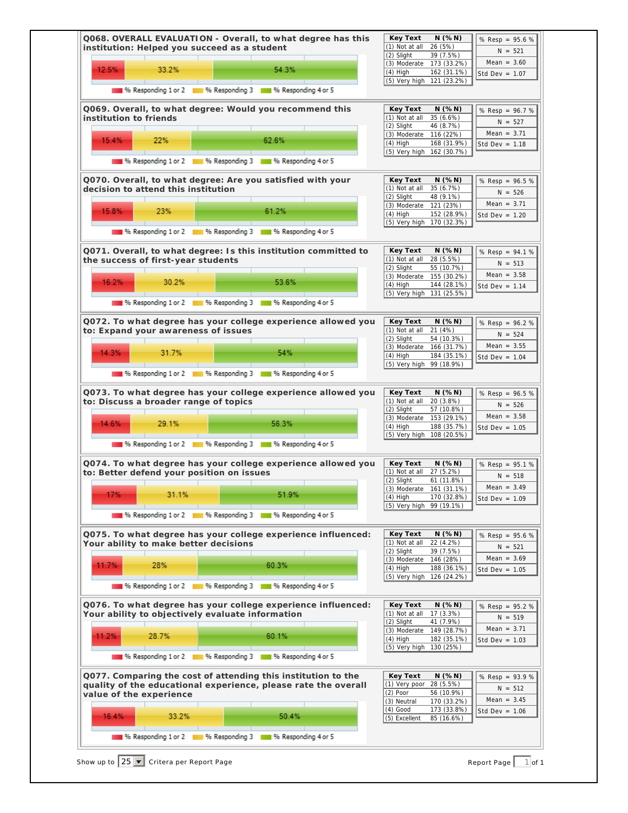| 12.5%                                            | 33.2% | 54.3%                                                                                                                           | (2) Slight<br>(3) Moderate 173 (33.2%)<br>$(4)$ High     | 39 (7.5%)<br>162 (31.1%)          | Mean = $3.60$<br>Std Dev = $1.07$             |
|--------------------------------------------------|-------|---------------------------------------------------------------------------------------------------------------------------------|----------------------------------------------------------|-----------------------------------|-----------------------------------------------|
|                                                  |       | 196 Responding 1 or 2 11 % Responding 3 11 % Responding 4 or 5                                                                  | (5) Very high 121 (23.2%)                                |                                   |                                               |
| institution to friends                           |       | Q069. Overall, to what degree: Would you recommend this                                                                         | Key Text<br>(1) Not at all 35 (6.6%)                     | $N$ (%N)                          | % Resp = 96.7 %                               |
| 15.4%                                            | 22%   | 62.6%                                                                                                                           | (2) Slight<br>(3) Moderate 116 (22%)                     | 46 (8.7%)                         | $N = 527$<br>Mean = $3.71$                    |
|                                                  |       | % Responding 1 or 2 1 % Responding 3 1 % Responding 4 or 5                                                                      | $(4)$ High<br>(5) Very high 162 (30.7%)                  | 168 (31.9%)                       | Std Dev = $1.18$                              |
|                                                  |       | Q070. Overall, to what degree: Are you satisfied with your                                                                      | Key Text                                                 | $N$ (% $N$ )                      |                                               |
| decision to attend this institution              |       |                                                                                                                                 | (1) Not at all<br>(2) Slight                             | 35 (6.7%)<br>48 (9.1%)            | % Resp = 96.5 %<br>$N = 526$<br>Mean = $3.71$ |
| 15.8%                                            | 23%   | 61.2%                                                                                                                           | (3) Moderate 121 (23%)<br>$(4)$ High                     | 152 (28.9%)                       | Std Dev = $1.20$                              |
|                                                  |       | % Responding 1 or 2 1 % Responding 3 1 % Responding 4 or 5                                                                      | (5) Very high 170 (32.3%)                                |                                   |                                               |
| the success of first-year students               |       | Q071. Overall, to what degree: Is this institution committed to                                                                 | Key Text<br>(1) Not at all                               | $N$ (%N)<br>28 (5.5%)             | % Resp = 94.1 %<br>$N = 513$                  |
| 16.2%                                            | 30.2% | 53.6%                                                                                                                           | (2) Slight<br>(3) Moderate                               | 55 (10.7%)<br>155 (30.2%)         | Mean = $3.58$                                 |
|                                                  |       |                                                                                                                                 | $(4)$ High<br>(5) Very high 131 (25.5%)                  | 144 (28.1%)                       | Std Dev = $1.14$                              |
|                                                  |       | 196 Responding 1 or 2 11 11 % Responding 3 11 12 % Responding 4 or 5                                                            |                                                          |                                   |                                               |
| to: Expand your awareness of issues              |       | Q072. To what degree has your college experience allowed you                                                                    | Key Text<br>(1) Not at all<br>(2) Slight                 | $N$ (%N)<br>21 (4%)<br>54 (10.3%) | % Resp = 96.2 %<br>$N = 524$                  |
| 14.3%                                            | 31.7% | 54%                                                                                                                             | (3) Moderate 166 (31.7%)<br>$(4)$ High                   | 184 (35.1%)                       | Mean = $3.55$<br>Std Dev = $1.04$             |
|                                                  |       | % Responding 1 or 2 1 % Responding 3 1 % Responding 4 or 5                                                                      | (5) Very high 99 (18.9%)                                 |                                   |                                               |
|                                                  |       | Q073. To what degree has your college experience allowed you                                                                    | Key Text                                                 | $N$ (%N)                          | % Resp = 96.5 %                               |
| to: Discuss a broader range of topics            |       |                                                                                                                                 | (1) Not at all<br>(2) Slight                             | 20(3.8%)<br>57 (10.8%)            | $N = 526$                                     |
| 14.6%                                            | 29.1% | 56.3%                                                                                                                           | (3) Moderate<br>$(4)$ High<br>(5) Very high 108 (20.5%)  | 153 (29.1%)<br>188 (35.7%)        | Mean = $3.58$<br>Std Dev = $1.05$             |
|                                                  |       | 196 Responding 1 or 2 11 % Responding 3 11 % Responding 4 or 5                                                                  |                                                          |                                   |                                               |
| to: Better defend your position on issues        |       | Q074. To what degree has your college experience allowed you                                                                    | Key Text<br>(1) Not at all                               | N(%N)<br>27 (5.2%)                | % Resp = 95.1 %<br>$N = 518$                  |
|                                                  | 31.1% | 51.9%                                                                                                                           | (2) Slight<br>(3) Moderate 161 (31.1%)                   | 61 (11.8%)                        | Mean = $3.49$                                 |
| 17%                                              |       |                                                                                                                                 | $(4)$ High<br>(5) Very high 99 (19.1%)                   | 170 (32.8%)                       | Std Dev = $1.09$                              |
|                                                  |       | 196 Responding 1 or 2 11 11 % Responding 3 11 11 % Responding 4 or 5                                                            |                                                          |                                   |                                               |
| Your ability to make better decisions            |       | Q075. To what degree has your college experience influenced:                                                                    | Key Text<br>(1) Not at all<br>(2) Slight                 | N(%N)<br>22 (4.2%)<br>39 (7.5%)   | % Resp = 95.6 %<br>$N = 521$                  |
| 11.7%                                            | 28%   | 60.3%                                                                                                                           | (3) Moderate<br>$(4)$ High                               | 146 (28%)<br>188 (36.1%)          | Mean = $3.69$<br>Std Dev = $1.05$             |
|                                                  |       | % Responding 1 or 2 1 % Responding 3 1 % Responding 4 or 5                                                                      | (5) Very high 126 (24.2%)                                |                                   |                                               |
|                                                  |       | Q076. To what degree has your college experience influenced:                                                                    | Key Text                                                 | N(%N)                             | % Resp = 95.2 %                               |
| Your ability to objectively evaluate information |       |                                                                                                                                 | (1) Not at all<br>(2) Slight<br>(3) Moderate 149 (28.7%) | 17 (3.3%)<br>41 (7.9%)            | $N = 519$<br>Mean = $3.71$                    |
| 11.2%                                            | 28.7% | 60.1%                                                                                                                           | $(4)$ High<br>(5) Very high 130 (25%)                    | 182 (35.1%)                       | Std Dev = $1.03$                              |
|                                                  |       | % Responding 1 or 2 4 10 % Responding 3 4 10 % Responding 4 or 5                                                                |                                                          |                                   |                                               |
|                                                  |       | Q077. Comparing the cost of attending this institution to the<br>quality of the educational experience, please rate the overall | Key Text<br>(1) Very poor 28 (5.5%)                      | N(%N)                             | % Resp = 93.9 %<br>$N = 512$                  |
| value of the experience                          |       |                                                                                                                                 | $(2)$ Poor<br>(3) Neutral                                | 56 (10.9%)<br>170 (33.2%)         | Mean = $3.45$                                 |
| 16.4%                                            | 33.2% | 50.4%                                                                                                                           | $(4)$ Good<br>(5) Excellent                              | 173 (33.8%)<br>85 (16.6%)         | Std Dev = $1.06$                              |
|                                                  |       | % Responding 1 or 2 1 % Responding 3 1 % Responding 4 or 5                                                                      |                                                          |                                   |                                               |